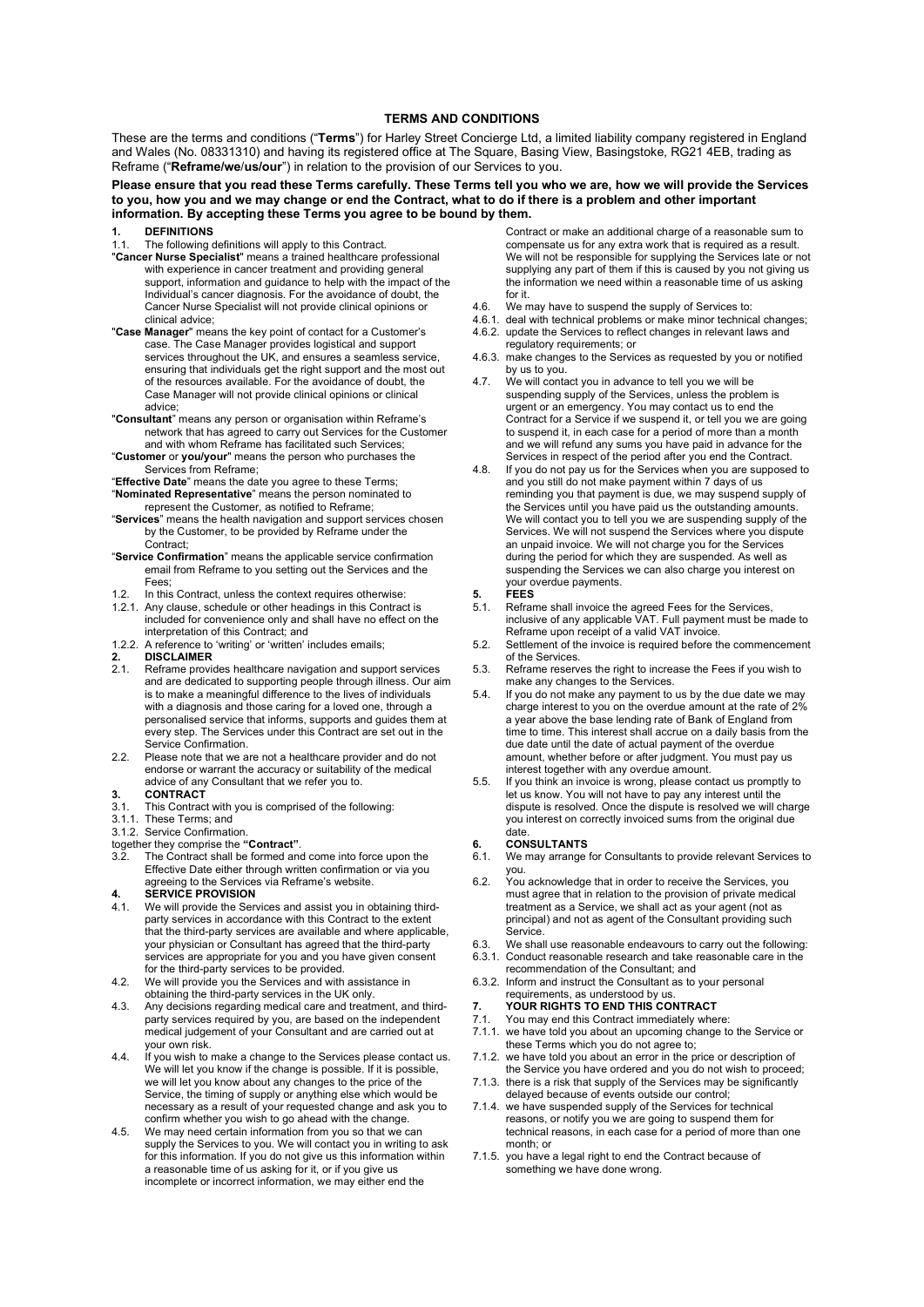### TERMS AND CONDITIONS

These are the terms and conditions ("Terms") for Harley Street Concierge Ltd, a limited liability company registered in England and Wales (No. 08331310) and having its registered office at The Square, Basing View, Basingstoke, RG21 4EB, trading as Reframe ("Reframe/we/us/our") in relation to the provision of our Services to you.

### Please ensure that you read these Terms carefully. These Terms tell you who we are, how we will provide the Services to you, how you and we may change or end the Contract, what to do if there is a problem and other important information. By accepting these Terms you agree to be bound by them.

- **DEFINITIONS**
- 1.1. The following definitions will apply to this Contract.
- "Cancer Nurse Specialist" means a trained healthcare professional with experience in cancer treatment and providing general support, information and guidance to help with the impact of the Individual's cancer diagnosis. For the avoidance of doubt, the Cancer Nurse Specialist will not provide clinical opinions or clinical advice;
- "Case Manager" means the key point of contact for a Customer's case. The Case Manager provides logistical and support services throughout the UK, and ensures a seamless service, ensuring that individuals get the right support and the most out of the resources available. For the avoidance of doubt, the Case Manager will not provide clinical opinions or clinical advice;
- "Consultant" means any person or organisation within Reframe's network that has agreed to carry out Services for the Customer and with whom Reframe has facilitated such Services;
- "Customer or you/your" means the person who purchases the Services from Reframe;
- "Effective Date" means the date you agree to these Terms; "Nominated Representative" means the person nominated to
- represent the Customer, as notified to Reframe;
- "Services" means the health navigation and support services chosen by the Customer, to be provided by Reframe under the Contract;
- "Service Confirmation" means the applicable service confirmation email from Reframe to you setting out the Services and the Fees;
- 1.2. In this Contract, unless the context requires otherwise:
- 1.2.1. Any clause, schedule or other headings in this Contract is included for convenience only and shall have no effect on the interpretation of this Contract; and
- 1.2.2. A reference to 'writing' or 'written' includes emails;

# 2. DISCLAIMER<br>2.1. Reframe provi

- Reframe provides healthcare navigation and support services and are dedicated to supporting people through illness. Our aim is to make a meaningful difference to the lives of individuals with a diagnosis and those caring for a loved one, through a personalised service that informs, supports and guides them at every step. The Services under this Contract are set out in the Service Confirmation.
- 2.2. Please note that we are not a healthcare provider and do not endorse or warrant the accuracy or suitability of the medical advice of any Consultant that we refer you to.

- 3.1. **CONTRACT**<br>3.1. This Contrac This Contract with you is comprised of the following:
- 3.1.1. These Terms; and
- 3.1.2. Service Confirmation.
- together they comprise the "**Contract"**.<br>3.2. The Contract shall be formed an
- The Contract shall be formed and come into force upon the Effective Date either through written confirmation or via you agreeing to the Services via Reframe's website.

- 4. SERVICE PROVISION<br>4.1. We will provide the Service We will provide the Services and assist you in obtaining thirdparty services in accordance with this Contract to the extent that the third-party services are available and where applicable, your physician or Consultant has agreed that the third-party services are appropriate for you and you have given consent for the third-party services to be provided.
- 4.2. We will provide you the Services and with assistance in obtaining the third-party services in the UK only.
- 4.3. Any decisions regarding medical care and treatment, and thirdparty services required by you, are based on the independent medical judgement of your Consultant and are carried out at your own risk.
- 4.4. If you wish to make a change to the Services please contact us. We will let you know if the change is possible. If it is possible, we will let you know about any changes to the price of the Service, the timing of supply or anything else which would be necessary as a result of your requested change and ask you to confirm whether you wish to go ahead with the change.
- 4.5. We may need certain information from you so that we can supply the Services to you. We will contact you in writing to ask for this information. If you do not give us this information within a reasonable time of us asking for it, or if you give us incomplete or incorrect information, we may either end the

Contract or make an additional charge of a reasonable sum to compensate us for any extra work that is required as a result. We will not be responsible for supplying the Services late or not supplying any part of them if this is caused by you not giving us the information we need within a reasonable time of us asking for it.

- 4.6. We may have to suspend the supply of Services to:
- 4.6.1. deal with technical problems or make minor technical changes;
- 4.6.2. update the Services to reflect changes in relevant laws and regulatory requirements; or
- 4.6.3. make changes to the Services as requested by you or notified by us to you.
- 4.7. We will contact you in advance to tell you we will be suspending supply of the Services, unless the problem is urgent or an emergency. You may contact us to end the Contract for a Service if we suspend it, or tell you we are going to suspend it, in each case for a period of more than a month and we will refund any sums you have paid in advance for the Services in respect of the period after you end the Contract.
- 4.8. If you do not pay us for the Services when you are supposed to and you still do not make payment within 7 days of us reminding you that payment is due, we may suspend supply of the Services until you have paid us the outstanding amounts. We will contact you to tell you we are suspending supply of the Services. We will not suspend the Services where you dispute an unpaid invoice. We will not charge you for the Services during the period for which they are suspended. As well as suspending the Services we can also charge you interest on your overdue payments.

#### 5. FEES

- 5.1. Reframe shall invoice the agreed Fees for the Services, inclusive of any applicable VAT. Full payment must be made to Reframe upon receipt of a valid VAT invoice.
- 5.2. Settlement of the invoice is required before the commencement of the Services.
- 5.3. Reframe reserves the right to increase the Fees if you wish to make any changes to the Services.
- 5.4. If you do not make any payment to us by the due date we may charge interest to you on the overdue amount at the rate of 2% a year above the base lending rate of Bank of England from time to time. This interest shall accrue on a daily basis from the due date until the date of actual payment of the overdue amount, whether before or after judgment. You must pay us interest together with any overdue amount.
- 5.5. If you think an invoice is wrong, please contact us promptly to let us know. You will not have to pay any interest until the dispute is resolved. Once the dispute is resolved we will charge you interest on correctly invoiced sums from the original due date.

# 6. **CONSULTANTS**<br>6.1. We may arrange

- We may arrange for Consultants to provide relevant Services to you.
- 6.2. You acknowledge that in order to receive the Services, you must agree that in relation to the provision of private medical treatment as a Service, we shall act as your agent (not as principal) and not as agent of the Consultant providing such Service.
- We shall use reasonable endeavours to carry out the following: 6.3.1. Conduct reasonable research and take reasonable care in the
- recommendation of the Consultant; and
- 6.3.2. Inform and instruct the Consultant as to your personal requirements, as understood by us.
- 7. YOUR RIGHTS TO END THIS CONTRACT<br>7.1. You may end this Contract immediately whe
- You may end this Contract immediately where:
- 7.1.1. we have told you about an upcoming change to the Service or these Terms which you do not agree to;
- 7.1.2. we have told you about an error in the price or description of the Service you have ordered and you do not wish to proceed;
- 7.1.3. there is a risk that supply of the Services may be significantly delayed because of events outside our control;
- 7.1.4. we have suspended supply of the Services for technical reasons, or notify you we are going to suspend them for technical reasons, in each case for a period of more than one month; or
- 7.1.5. you have a legal right to end the Contract because of something we have done wrong.